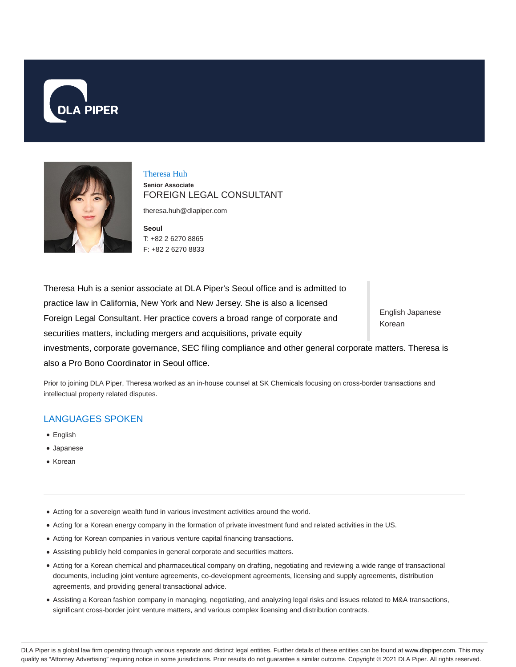



Theresa Huh **Senior Associate** FOREIGN LEGAL CONSULTANT

theresa.huh@dlapiper.com

**Seoul** T: +82 2 6270 8865 F: +82 2 6270 8833

English Japanese Korean Theresa Huh is a senior associate at DLA Piper's Seoul office and is admitted to practice law in California, New York and New Jersey. She is also a licensed Foreign Legal Consultant. Her practice covers a broad range of corporate and securities matters, including mergers and acquisitions, private equity investments, corporate governance, SEC filing compliance and other general corporate matters. Theresa is also a Pro Bono Coordinator in Seoul office.

Prior to joining DLA Piper, Theresa worked as an in-house counsel at SK Chemicals focusing on cross-border transactions and intellectual property related disputes.

# LANGUAGES SPOKEN

- English
- Japanese
- Korean
- Acting for a sovereign wealth fund in various investment activities around the world.
- Acting for a Korean energy company in the formation of private investment fund and related activities in the US.
- Acting for Korean companies in various venture capital financing transactions.
- Assisting publicly held companies in general corporate and securities matters.
- Acting for a Korean chemical and pharmaceutical company on drafting, negotiating and reviewing a wide range of transactional documents, including joint venture agreements, co-development agreements, licensing and supply agreements, distribution agreements, and providing general transactional advice.
- Assisting a Korean fashion company in managing, negotiating, and analyzing legal risks and issues related to M&A transactions, significant cross-border joint venture matters, and various complex licensing and distribution contracts.